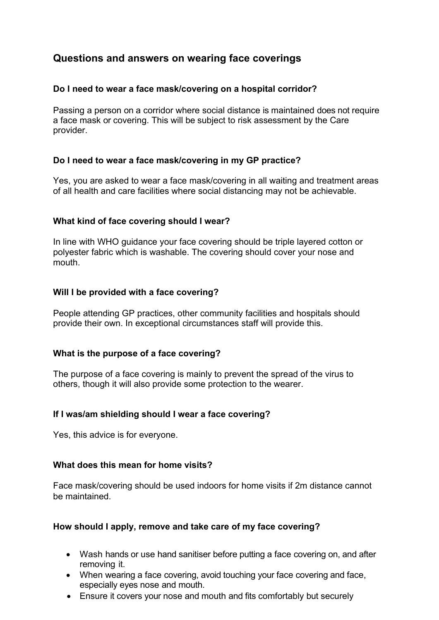# **Questions and answers on wearing face coverings**

## **Do I need to wear a face mask/covering on a hospital corridor?**

Passing a person on a corridor where social distance is maintained does not require a face mask or covering. This will be subject to risk assessment by the Care provider.

## **Do I need to wear a face mask/covering in my GP practice?**

Yes, you are asked to wear a face mask/covering in all waiting and treatment areas of all health and care facilities where social distancing may not be achievable.

## **What kind of face covering should I wear?**

In line with WHO guidance your face covering should be triple layered cotton or polyester fabric which is washable. The covering should cover your nose and mouth.

## **Will I be provided with a face covering?**

People attending GP practices, other community facilities and hospitals should provide their own. In exceptional circumstances staff will provide this.

### **What is the purpose of a face covering?**

The purpose of a face covering is mainly to prevent the spread of the virus to others, though it will also provide some protection to the wearer.

### **If I was/am shielding should I wear a face covering?**

Yes, this advice is for everyone.

### **What does this mean for home visits?**

Face mask/covering should be used indoors for home visits if 2m distance cannot be maintained.

### **How should I apply, remove and take care of my face covering?**

- Wash hands or use hand sanitiser before putting a face covering on, and after removing it.
- When wearing a face covering, avoid touching your face covering and face, especially eyes nose and mouth.
- Ensure it covers your nose and mouth and fits comfortably but securely